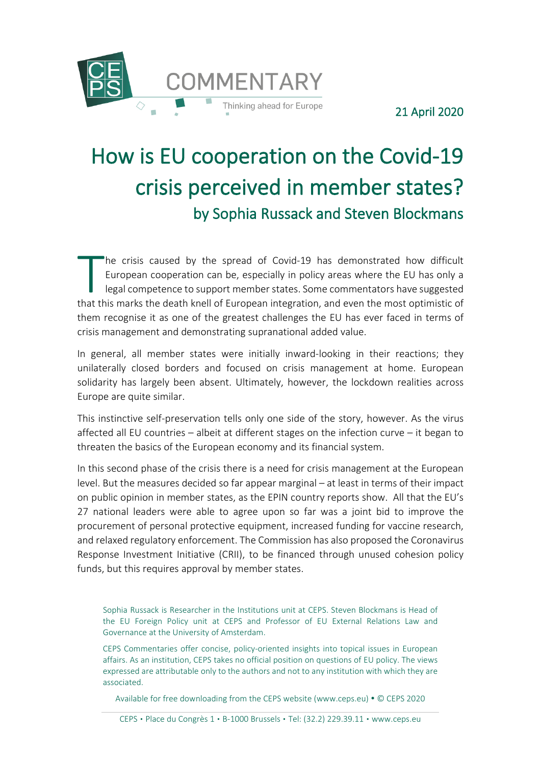

21 April 2020

# How is EU cooperation on the Covid-19 crisis perceived in member states? by Sophia Russack and Steven Blockmans

he crisis caused by the spread of Covid-19 has demonstrated how difficult European cooperation can be, especially in policy areas where the EU has only a legal competence to support member states. Some commentators have suggested The crisis caused by the spread of Covid-19 has demonstrated how difficult<br>
European cooperation can be, especially in policy areas where the EU has only a<br>
legal competence to support member states. Some commentators have them recognise it as one of the greatest challenges the EU has ever faced in terms of crisis management and demonstrating supranational added value.

In general, all member states were initially inward-looking in their reactions; they unilaterally closed borders and focused on crisis management at home. European solidarity has largely been absent. Ultimately, however, the lockdown realities across Europe are quite similar.

This instinctive self-preservation tells only one side of the story, however. As the virus affected all EU countries – albeit at different stages on the infection curve – it began to threaten the basics of the European economy and its financial system.

In this second phase of the crisis there is a need for crisis management at the European level. But the measures decided so far appear marginal – at least in terms of their impact on public opinion in member states, as the EPIN country reports show. All that the EU's 27 national leaders were able to agree upon so far was a joint bid to improve the procurement of personal protective equipment, increased funding for vaccine research, and relaxed regulatory enforcement. The Commission has also proposed the Coronavirus Response Investment Initiative (CRII), to be financed through unused cohesion policy funds, but this requires approval by member states.

Sophia Russack is Researcher in the Institutions unit at CEPS. Steven Blockmans is Head of the EU Foreign Policy unit at CEPS and Professor of EU External Relations Law and Governance at the University of Amsterdam.

CEPS Commentaries offer concise, policy-oriented insights into topical issues in European affairs. As an institution, CEPS takes no official position on questions of EU policy. The views expressed are attributable only to the authors and not to any institution with which they are associated.

Available for free downloading from the CEPS website (www.ceps.eu) . © CEPS 2020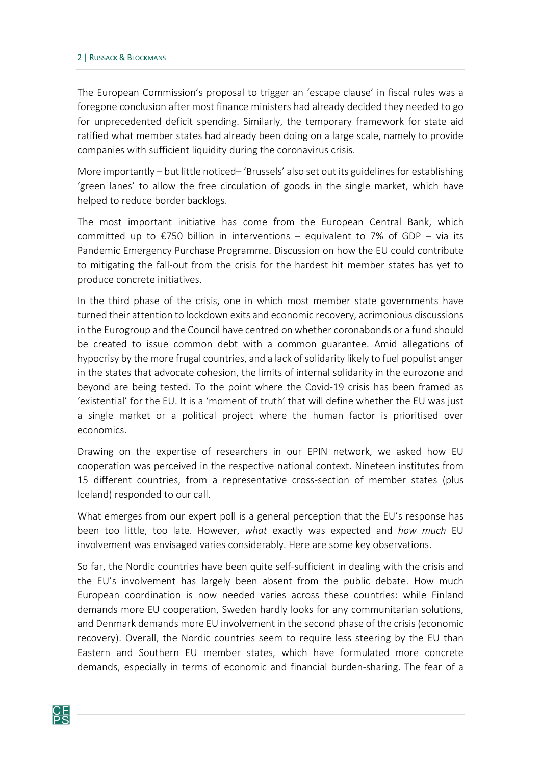The European Commission's proposal to trigger an 'escape clause' in fiscal rules was a foregone conclusion after most finance ministers had already decided they needed to go for unprecedented deficit spending. Similarly, the temporary framework for state aid ratified what member states had already been doing on a large scale, namely to provide companies with sufficient liquidity during the coronavirus crisis.

More importantly – but little noticed– 'Brussels' also set out its guidelines for establishing 'green lanes' to allow the free circulation of goods in the single market, which have helped to reduce border backlogs.

The most important initiative has come from the European Central Bank, which committed up to  $\epsilon$ 750 billion in interventions – equivalent to 7% of GDP – via its Pandemic Emergency Purchase Programme. Discussion on how the EU could contribute to mitigating the fall-out from the crisis for the hardest hit member states has yet to produce concrete initiatives.

In the third phase of the crisis, one in which most member state governments have turned their attention to lockdown exits and economic recovery, acrimonious discussions in the Eurogroup and the Council have centred on whether coronabonds or a fund should be created to issue common debt with a common guarantee. Amid allegations of hypocrisy by the more frugal countries, and a lack of solidarity likely to fuel populist anger in the states that advocate cohesion, the limits of internal solidarity in the eurozone and beyond are being tested. To the point where the Covid-19 crisis has been framed as 'existential' for the EU. It is a 'moment of truth' that will define whether the EU was just a single market or a political project where the human factor is prioritised over economics.

Drawing on the expertise of researchers in our EPIN network, we asked how EU cooperation was perceived in the respective national context. Nineteen institutes from 15 different countries, from a representative cross-section of member states (plus Iceland) responded to our call.

What emerges from our expert poll is a general perception that the EU's response has been too little, too late. However, *what* exactly was expected and *how much* EU involvement was envisaged varies considerably. Here are some key observations.

So far, the Nordic countries have been quite self-sufficient in dealing with the crisis and the EU's involvement has largely been absent from the public debate. How much European coordination is now needed varies across these countries: while Finland demands more EU cooperation, Sweden hardly looks for any communitarian solutions, and Denmark demands more EU involvement in the second phase of the crisis (economic recovery). Overall, the Nordic countries seem to require less steering by the EU than Eastern and Southern EU member states, which have formulated more concrete demands, especially in terms of economic and financial burden-sharing. The fear of a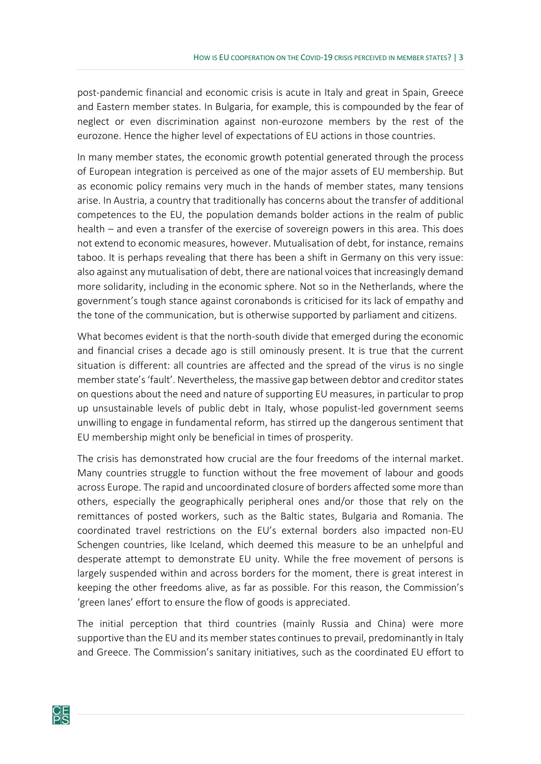post-pandemic financial and economic crisis is acute in Italy and great in Spain, Greece and Eastern member states. In Bulgaria, for example, this is compounded by the fear of neglect or even discrimination against non-eurozone members by the rest of the eurozone. Hence the higher level of expectations of EU actions in those countries.

In many member states, the economic growth potential generated through the process of European integration is perceived as one of the major assets of EU membership. But as economic policy remains very much in the hands of member states, many tensions arise. In Austria, a country that traditionally has concerns about the transfer of additional competences to the EU, the population demands bolder actions in the realm of public health – and even a transfer of the exercise of sovereign powers in this area. This does not extend to economic measures, however. Mutualisation of debt, for instance, remains taboo. It is perhaps revealing that there has been a shift in Germany on this very issue: also against any mutualisation of debt, there are national voices that increasingly demand more solidarity, including in the economic sphere. Not so in the Netherlands, where the government's tough stance against coronabonds is criticised for its lack of empathy and the tone of the communication, but is otherwise supported by parliament and citizens.

What becomes evident is that the north-south divide that emerged during the economic and financial crises a decade ago is still ominously present. It is true that the current situation is different: all countries are affected and the spread of the virus is no single member state's 'fault'. Nevertheless, the massive gap between debtor and creditor states on questions about the need and nature of supporting EU measures, in particular to prop up unsustainable levels of public debt in Italy, whose populist-led government seems unwilling to engage in fundamental reform, has stirred up the dangerous sentiment that EU membership might only be beneficial in times of prosperity.

The crisis has demonstrated how crucial are the four freedoms of the internal market. Many countries struggle to function without the free movement of labour and goods across Europe. The rapid and uncoordinated closure of borders affected some more than others, especially the geographically peripheral ones and/or those that rely on the remittances of posted workers, such as the Baltic states, Bulgaria and Romania. The coordinated travel restrictions on the EU's external borders also impacted non-EU Schengen countries, like Iceland, which deemed this measure to be an unhelpful and desperate attempt to demonstrate EU unity. While the free movement of persons is largely suspended within and across borders for the moment, there is great interest in keeping the other freedoms alive, as far as possible. For this reason, the Commission's 'green lanes' effort to ensure the flow of goods is appreciated.

The initial perception that third countries (mainly Russia and China) were more supportive than the EU and its member states continues to prevail, predominantly in Italy and Greece. The Commission's sanitary initiatives, such as the coordinated EU effort to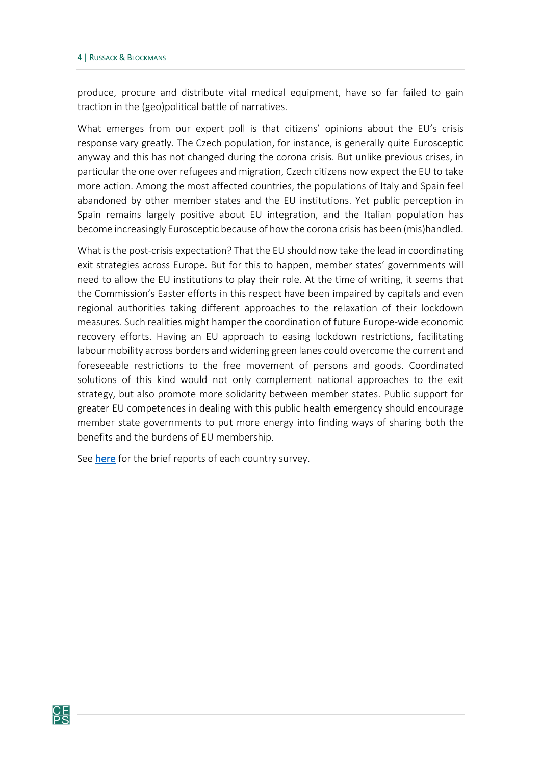produce, procure and distribute vital medical equipment, have so far failed to gain traction in the (geo)political battle of narratives.

What emerges from our expert poll is that citizens' opinions about the EU's crisis response vary greatly. The Czech population, for instance, is generally quite Eurosceptic anyway and this has not changed during the corona crisis. But unlike previous crises, in particular the one over refugees and migration, Czech citizens now expect the EU to take more action. Among the most affected countries, the populations of Italy and Spain feel abandoned by other member states and the EU institutions. Yet public perception in Spain remains largely positive about EU integration, and the Italian population has become increasingly Eurosceptic because of how the corona crisis has been (mis)handled.

What is the post-crisis expectation? That the EU should now take the lead in coordinating exit strategies across Europe. But for this to happen, member states' governments will need to allow the EU institutions to play their role. At the time of writing, it seems that the Commission's Easter efforts in this respect have been impaired by capitals and even regional authorities taking different approaches to the relaxation of their lockdown measures. Such realities might hamper the coordination of future Europe-wide economic recovery efforts. Having an EU approach to easing lockdown restrictions, facilitating labour mobility across borders and widening green lanes could overcome the current and foreseeable restrictions to the free movement of persons and goods. Coordinated solutions of this kind would not only complement national approaches to the exit strategy, but also promote more solidarity between member states. Public support for greater EU competences in dealing with this public health emergency should encourage member state governments to put more energy into finding ways of sharing both the benefits and the burdens of EU membership.

See [here](https://epin.org/wp-content/uploads/2020/04/EU-crisis-response-in-tackling-Covid-19.-Views-from-the-Member-States-5.pdf) for the brief reports of each country survey.

 $rac{\mathsf{CE}}{\mathsf{PS}}$